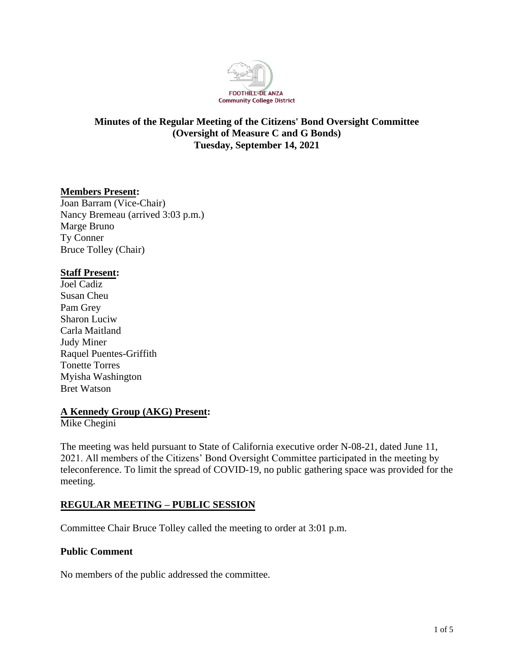

# **Minutes of the Regular Meeting of the Citizens' Bond Oversight Committee (Oversight of Measure C and G Bonds) Tuesday, September 14, 2021**

## **Members Present:**

Joan Barram (Vice-Chair) Nancy Bremeau (arrived 3:03 p.m.) Marge Bruno Ty Conner Bruce Tolley (Chair)

### **Staff Present:**

Joel Cadiz Susan Cheu Pam Grey Sharon Luciw Carla Maitland Judy Miner Raquel Puentes-Griffith Tonette Torres Myisha Washington Bret Watson

## **A Kennedy Group (AKG) Present:**

Mike Chegini

The meeting was held pursuant to State of California executive order N-08-21, dated June 11, 2021. All members of the Citizens' Bond Oversight Committee participated in the meeting by teleconference. To limit the spread of COVID-19, no public gathering space was provided for the meeting.

## **REGULAR MEETING – PUBLIC SESSION**

Committee Chair Bruce Tolley called the meeting to order at 3:01 p.m.

### **Public Comment**

No members of the public addressed the committee.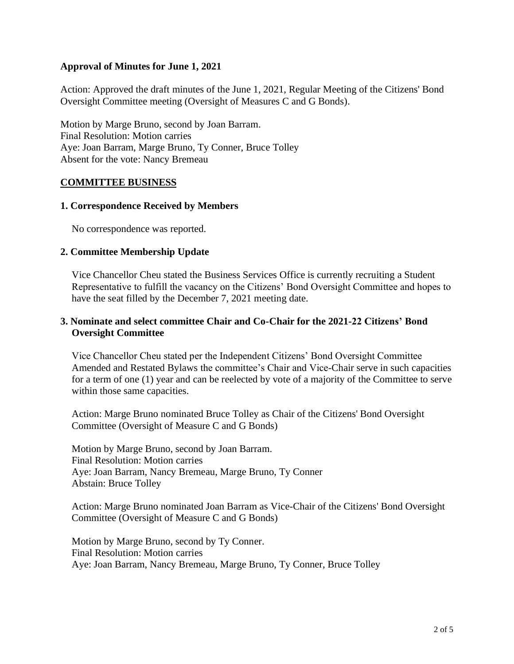### **Approval of Minutes for June 1, 2021**

Action: Approved the draft minutes of the June 1, 2021, Regular Meeting of the Citizens' Bond Oversight Committee meeting (Oversight of Measures C and G Bonds).

Motion by Marge Bruno, second by Joan Barram. Final Resolution: Motion carries Aye: Joan Barram, Marge Bruno, Ty Conner, Bruce Tolley Absent for the vote: Nancy Bremeau

### **COMMITTEE BUSINESS**

### **1. Correspondence Received by Members**

No correspondence was reported.

### **2. Committee Membership Update**

Vice Chancellor Cheu stated the Business Services Office is currently recruiting a Student Representative to fulfill the vacancy on the Citizens' Bond Oversight Committee and hopes to have the seat filled by the December 7, 2021 meeting date.

### **3. Nominate and select committee Chair and Co-Chair for the 2021-22 Citizens' Bond Oversight Committee**

Vice Chancellor Cheu stated per the Independent Citizens' Bond Oversight Committee Amended and Restated Bylaws the committee's Chair and Vice-Chair serve in such capacities for a term of one (1) year and can be reelected by vote of a majority of the Committee to serve within those same capacities.

Action: Marge Bruno nominated Bruce Tolley as Chair of the Citizens' Bond Oversight Committee (Oversight of Measure C and G Bonds)

Motion by Marge Bruno, second by Joan Barram. Final Resolution: Motion carries Aye: Joan Barram, Nancy Bremeau, Marge Bruno, Ty Conner Abstain: Bruce Tolley

Action: Marge Bruno nominated Joan Barram as Vice-Chair of the Citizens' Bond Oversight Committee (Oversight of Measure C and G Bonds)

Motion by Marge Bruno, second by Ty Conner. Final Resolution: Motion carries Aye: Joan Barram, Nancy Bremeau, Marge Bruno, Ty Conner, Bruce Tolley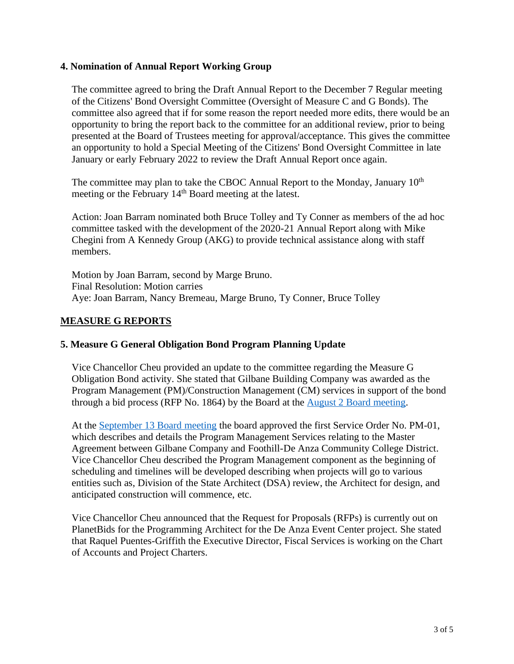### **4. Nomination of Annual Report Working Group**

The committee agreed to bring the Draft Annual Report to the December 7 Regular meeting of the Citizens' Bond Oversight Committee (Oversight of Measure C and G Bonds). The committee also agreed that if for some reason the report needed more edits, there would be an opportunity to bring the report back to the committee for an additional review, prior to being presented at the Board of Trustees meeting for approval/acceptance. This gives the committee an opportunity to hold a Special Meeting of the Citizens' Bond Oversight Committee in late January or early February 2022 to review the Draft Annual Report once again.

The committee may plan to take the CBOC Annual Report to the Monday, January  $10<sup>th</sup>$ meeting or the February 14<sup>th</sup> Board meeting at the latest.

Action: Joan Barram nominated both Bruce Tolley and Ty Conner as members of the ad hoc committee tasked with the development of the 2020-21 Annual Report along with Mike Chegini from A Kennedy Group (AKG) to provide technical assistance along with staff members.

Motion by Joan Barram, second by Marge Bruno. Final Resolution: Motion carries Aye: Joan Barram, Nancy Bremeau, Marge Bruno, Ty Conner, Bruce Tolley

### **MEASURE G REPORTS**

### **5. Measure G General Obligation Bond Program Planning Update**

Vice Chancellor Cheu provided an update to the committee regarding the Measure G Obligation Bond activity. She stated that Gilbane Building Company was awarded as the Program Management (PM)/Construction Management (CM) services in support of the bond through a bid process (RFP No. 1864) by the Board at the [August 2 Board meeting.](http://go.boarddocs.com/ca/fhda/Board.nsf/goto?open&id=C56TEE770013)

At the [September 13 Board meeting](http://go.boarddocs.com/ca/fhda/Board.nsf/goto?open&id=C6FRZT7078BE) the board approved the first Service Order No. PM-01, which describes and details the Program Management Services relating to the Master Agreement between Gilbane Company and Foothill-De Anza Community College District. Vice Chancellor Cheu described the Program Management component as the beginning of scheduling and timelines will be developed describing when projects will go to various entities such as, Division of the State Architect (DSA) review, the Architect for design, and anticipated construction will commence, etc.

Vice Chancellor Cheu announced that the Request for Proposals (RFPs) is currently out on PlanetBids for the Programming Architect for the De Anza Event Center project. She stated that Raquel Puentes-Griffith the Executive Director, Fiscal Services is working on the Chart of Accounts and Project Charters.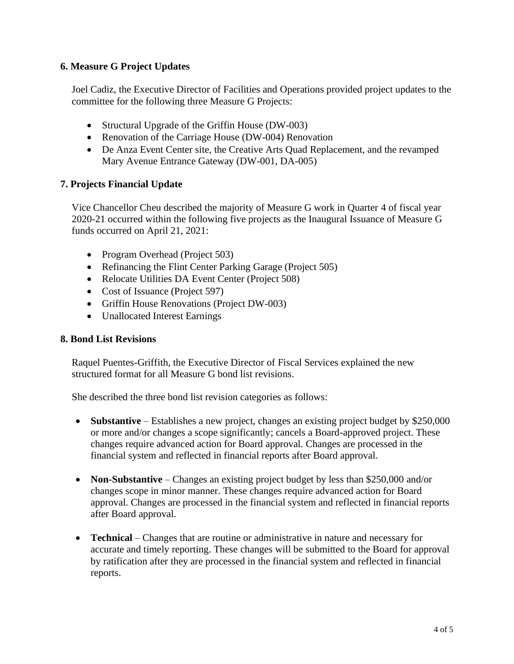## **6. Measure G Project Updates**

Joel Cadiz, the Executive Director of Facilities and Operations provided project updates to the committee for the following three Measure G Projects:

- Structural Upgrade of the Griffin House (DW-003)
- Renovation of the Carriage House (DW-004) Renovation
- De Anza Event Center site, the Creative Arts Quad Replacement, and the revamped Mary Avenue Entrance Gateway (DW-001, DA-005)

## **7. Projects Financial Update**

Vice Chancellor Cheu described the majority of Measure G work in Quarter 4 of fiscal year 2020-21 occurred within the following five projects as the Inaugural Issuance of Measure G funds occurred on April 21, 2021:

- Program Overhead (Project 503)
- Refinancing the Flint Center Parking Garage (Project 505)
- Relocate Utilities DA Event Center (Project 508)
- Cost of Issuance (Project 597)
- Griffin House Renovations (Project DW-003)
- Unallocated Interest Earnings

### **8. Bond List Revisions**

Raquel Puentes-Griffith, the Executive Director of Fiscal Services explained the new structured format for all Measure G bond list revisions.

She described the three bond list revision categories as follows:

- **Substantive** Establishes a new project, changes an existing project budget by \$250,000 or more and/or changes a scope significantly; cancels a Board-approved project. These changes require advanced action for Board approval. Changes are processed in the financial system and reflected in financial reports after Board approval.
- **Non-Substantive** Changes an existing project budget by less than \$250,000 and/or changes scope in minor manner. These changes require advanced action for Board approval. Changes are processed in the financial system and reflected in financial reports after Board approval.
- **Technical** Changes that are routine or administrative in nature and necessary for accurate and timely reporting. These changes will be submitted to the Board for approval by ratification after they are processed in the financial system and reflected in financial reports.